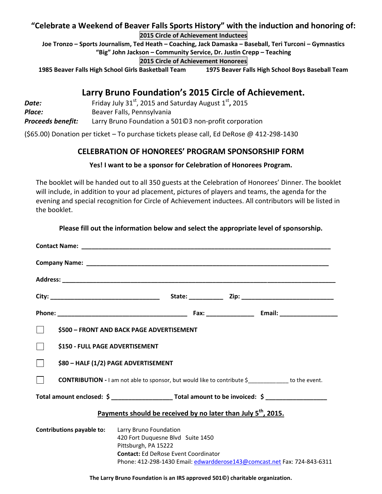#### **"Celebrate a Weekend of Beaver Falls Sports History" with the induction and honoring of: 2015 Circle of Achievement Inductees**

**Joe Tronzo – Sports Journalism, Ted Heath – Coaching, Jack Damaska – Baseball, Teri Turconi – Gymnastics "Big" John Jackson – Community Service, Dr. Justin Crepp – Teaching**

#### **2015 Circle of Achievement Honorees**

**1985 Beaver Falls High School Girls Basketball Team 1975 Beaver Falls High School Boys Baseball Team**

# **Larry Bruno Foundation's 2015 Circle of Achievement.**

| Date:                    | Friday July $31^{st}$ , 2015 and Saturday August $1^{st}$ , 2015 |
|--------------------------|------------------------------------------------------------------|
| Place:                   | Beaver Falls, Pennsylvania                                       |
| <b>Proceeds benefit:</b> | Larry Bruno Foundation a 50103 non-profit corporation            |

(\$65.00) Donation per ticket – To purchase tickets please call, Ed DeRose @ 412-298-1430

### **CELEBRATION OF HONOREES' PROGRAM SPONSORSHIP FORM**

#### **Yes! I want to be a sponsor for Celebration of Honorees Program.**

The booklet will be handed out to all 350 guests at the Celebration of Honorees' Dinner. The booklet will include, in addition to your ad placement, pictures of players and teams, the agenda for the evening and special recognition for Circle of Achievement inductees. All contributors will be listed in the booklet.

|                                                                                                            | \$500 - FRONT AND BACK PAGE ADVERTISEMENT                                                                                                                                                                      |  |
|------------------------------------------------------------------------------------------------------------|----------------------------------------------------------------------------------------------------------------------------------------------------------------------------------------------------------------|--|
| \$150 - FULL PAGE ADVERTISEMENT                                                                            |                                                                                                                                                                                                                |  |
| \$80 - HALF (1/2) PAGE ADVERTISEMENT                                                                       |                                                                                                                                                                                                                |  |
| <b>CONTRIBUTION</b> - I am not able to sponsor, but would like to contribute \$ ____________ to the event. |                                                                                                                                                                                                                |  |
|                                                                                                            |                                                                                                                                                                                                                |  |
| Payments should be received by no later than July 5 <sup>th</sup> , 2015.                                  |                                                                                                                                                                                                                |  |
| <b>Contributions payable to:</b>                                                                           | Larry Bruno Foundation<br>420 Fort Duquesne Blvd Suite 1450<br>Pittsburgh, PA 15222<br><b>Contact: Ed DeRose Event Coordinator</b><br>Phone: 412-298-1430 Email: edwardderose143@comcast.net Fax: 724-843-6311 |  |

**Please fill out the information below and select the appropriate level of sponsorship.**

**The Larry Bruno Foundation is an IRS approved 501©) charitable organization.**